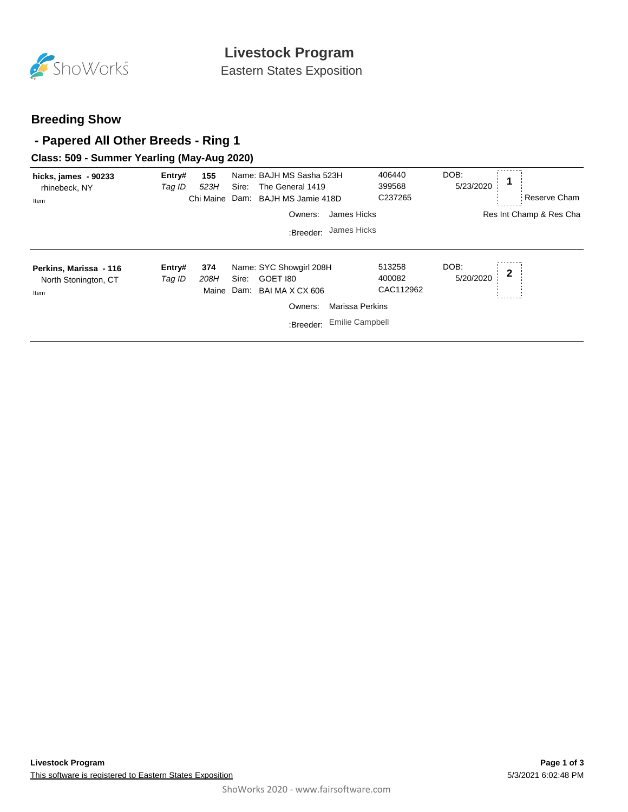

Eastern States Exposition

### **Breeding Show**

### **- Papered All Other Breeds - Ring 1**

### **Class: 509 - Summer Yearling (May-Aug 2020)**

| hicks, james - 90233<br>rhinebeck, NY<br>Item          | Entry#<br>Tag ID | 155<br>523H<br>Chi Maine | Sire: | Name: BAJH MS Sasha 523H<br>The General 1419<br>Dam: BAJH MS Jamie 418D | 406440<br>399568<br>C237265   | DOB:<br>5/23/2020 | Reserve Cham            |
|--------------------------------------------------------|------------------|--------------------------|-------|-------------------------------------------------------------------------|-------------------------------|-------------------|-------------------------|
|                                                        |                  |                          |       | James Hicks<br>Owners:                                                  |                               |                   | Res Int Champ & Res Cha |
|                                                        |                  |                          |       | James Hicks<br>:Breeder:                                                |                               |                   |                         |
| Perkins, Marissa - 116<br>North Stonington, CT<br>Item | Entry#<br>Tag ID | 374<br>208H<br>Maine     | Sire: | Name: SYC Showgirl 208H<br>GOET 180<br>Dam: BAI MA X CX 606             | 513258<br>400082<br>CAC112962 | DOB:<br>5/20/2020 | 2                       |
|                                                        |                  |                          |       | <b>Marissa Perkins</b><br>Owners:                                       |                               |                   |                         |
|                                                        |                  |                          |       | <b>Emilie Campbell</b><br>:Breeder:                                     |                               |                   |                         |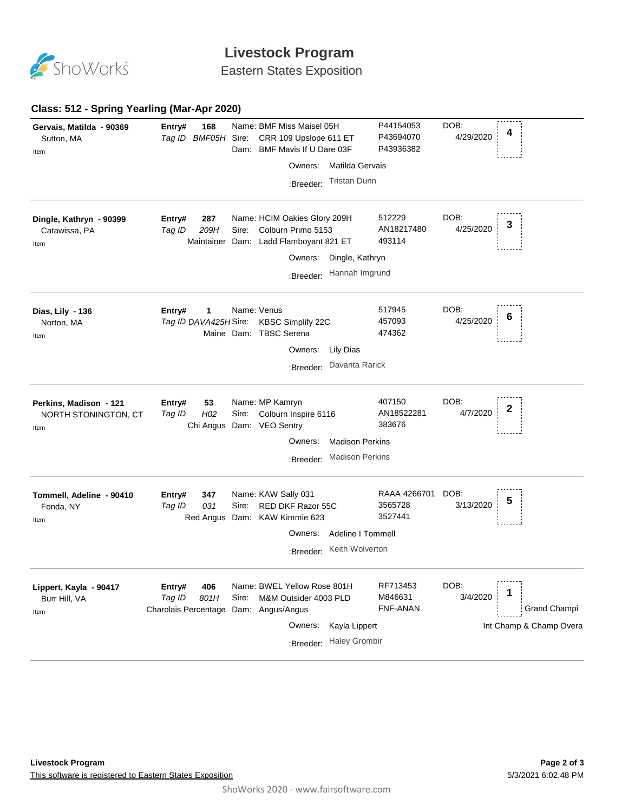

# **Livestock Program**

Eastern States Exposition

### **Class: 512 - Spring Yearling (Mar-Apr 2020)**

| Gervais, Matilda - 90369<br>Sutton, MA<br>Item         | 168<br>Entry#<br>Tag ID BMF05H Sire:                                     | Name: BMF Miss Maisel 05H<br>CRR 109 Upslope 611 ET<br>Dam: BMF Mavis If U Dare 03F                   | P44154053<br>P43694070<br>P43936382 | DOB:<br>4<br>4/29/2020                |
|--------------------------------------------------------|--------------------------------------------------------------------------|-------------------------------------------------------------------------------------------------------|-------------------------------------|---------------------------------------|
|                                                        |                                                                          | Owners:                                                                                               | Matilda Gervais                     |                                       |
|                                                        |                                                                          | :Breeder:                                                                                             | <b>Tristan Dunn</b>                 |                                       |
| Dingle, Kathryn - 90399<br>Catawissa, PA<br>Item       | Entry#<br>287<br>209H<br>Tag ID                                          | Name: HCIM Oakies Glory 209H<br>Colburn Primo 5153<br>Sire:<br>Maintainer Dam: Ladd Flamboyant 821 ET | 512229<br>AN18217480<br>493114      | DOB:<br>3<br>4/25/2020                |
|                                                        |                                                                          |                                                                                                       | Owners: Dingle, Kathryn             |                                       |
|                                                        |                                                                          | :Breeder:                                                                                             | Hannah Imgrund                      |                                       |
| Dias, Lily - 136<br>Norton, MA<br>Item                 | 1<br>Entry#                                                              | Name: Venus<br>Tag ID DAVA425H Sire: KBSC Simplify 22C<br>Maine Dam: TBSC Serena                      | 517945<br>457093<br>474362          | DOB:<br>6<br>4/25/2020                |
|                                                        |                                                                          |                                                                                                       | Owners: Lily Dias                   |                                       |
|                                                        |                                                                          |                                                                                                       | :Breeder: Davanta Rarick            |                                       |
| Perkins, Madison - 121<br>NORTH STONINGTON, CT<br>Item | 53<br>Entry#<br>H <sub>02</sub><br>Tag ID                                | Name: MP Kamryn<br>Colburn Inspire 6116<br>Sire:<br>Chi Angus Dam: VEO Sentry                         | 407150<br>AN18522281<br>383676      | DOB:<br>2<br>4/7/2020                 |
|                                                        |                                                                          | Owners:                                                                                               | <b>Madison Perkins</b>              |                                       |
|                                                        |                                                                          | :Breeder:                                                                                             | <b>Madison Perkins</b>              |                                       |
| Tommell, Adeline - 90410<br>Fonda, NY<br>Item          | 347<br>Entry#<br>031<br>Tag ID                                           | Name: KAW Sally 031<br><b>RED DKF Razor 55C</b><br>Sire:<br>Red Angus Dam: KAW Kimmie 623             | RAAA 4266701<br>3565728<br>3527441  | DOB:<br>5<br>3/13/2020                |
|                                                        |                                                                          | Owners:                                                                                               | Adeline I Tommell                   |                                       |
|                                                        |                                                                          |                                                                                                       | :Breeder: Keith Wolverton           |                                       |
| Lippert, Kayla - 90417<br>Burr Hill, VA<br>Item        | 406<br>Entry#<br>Tag ID<br>801H<br>Charolais Percentage Dam: Angus/Angus | Name: BWEL Yellow Rose 801H<br>M&M Outsider 4003 PLD<br>Sire:                                         | RF713453<br>M846631<br>FNF-ANAN     | DOB:<br>1<br>3/4/2020<br>Grand Champi |
|                                                        |                                                                          |                                                                                                       | Owners: Kayla Lippert               | Int Champ & Champ Overa               |
|                                                        |                                                                          | :Breeder:                                                                                             | <b>Haley Grombir</b>                |                                       |
|                                                        |                                                                          |                                                                                                       |                                     |                                       |